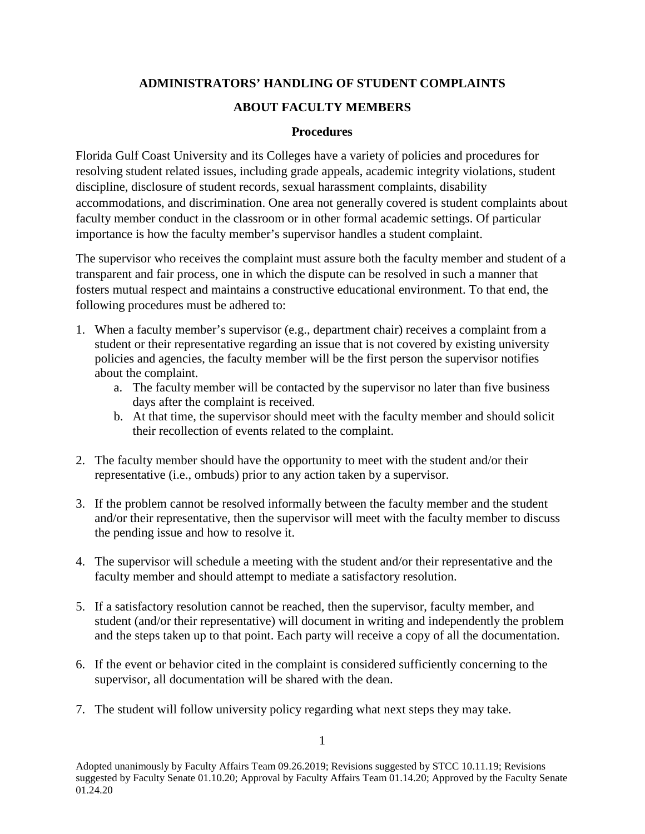## **ADMINISTRATORS' HANDLING OF STUDENT COMPLAINTS**

## **ABOUT FACULTY MEMBERS**

## **Procedures**

Florida Gulf Coast University and its Colleges have a variety of policies and procedures for resolving student related issues, including grade appeals, academic integrity violations, student discipline, disclosure of student records, sexual harassment complaints, disability accommodations, and discrimination. One area not generally covered is student complaints about faculty member conduct in the classroom or in other formal academic settings. Of particular importance is how the faculty member's supervisor handles a student complaint.

The supervisor who receives the complaint must assure both the faculty member and student of a transparent and fair process, one in which the dispute can be resolved in such a manner that fosters mutual respect and maintains a constructive educational environment. To that end, the following procedures must be adhered to:

- 1. When a faculty member's supervisor (e.g., department chair) receives a complaint from a student or their representative regarding an issue that is not covered by existing university policies and agencies, the faculty member will be the first person the supervisor notifies about the complaint.
	- a. The faculty member will be contacted by the supervisor no later than five business days after the complaint is received.
	- b. At that time, the supervisor should meet with the faculty member and should solicit their recollection of events related to the complaint.
- 2. The faculty member should have the opportunity to meet with the student and/or their representative (i.e., ombuds) prior to any action taken by a supervisor.
- 3. If the problem cannot be resolved informally between the faculty member and the student and/or their representative, then the supervisor will meet with the faculty member to discuss the pending issue and how to resolve it.
- 4. The supervisor will schedule a meeting with the student and/or their representative and the faculty member and should attempt to mediate a satisfactory resolution.
- 5. If a satisfactory resolution cannot be reached, then the supervisor, faculty member, and student (and/or their representative) will document in writing and independently the problem and the steps taken up to that point. Each party will receive a copy of all the documentation.
- 6. If the event or behavior cited in the complaint is considered sufficiently concerning to the supervisor, all documentation will be shared with the dean.
- 7. The student will follow university policy regarding what next steps they may take.

Adopted unanimously by Faculty Affairs Team 09.26.2019; Revisions suggested by STCC 10.11.19; Revisions suggested by Faculty Senate 01.10.20; Approval by Faculty Affairs Team 01.14.20; Approved by the Faculty Senate 01.24.20